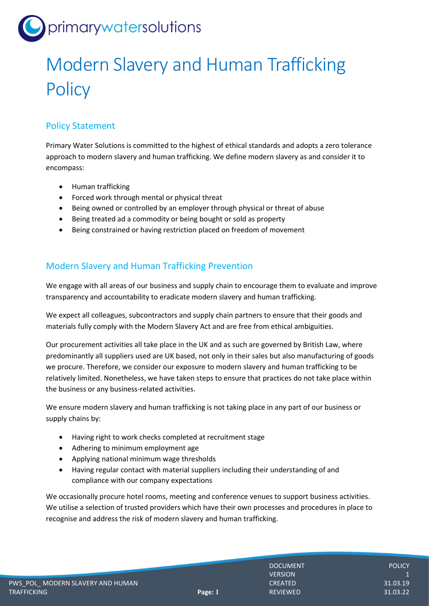# primarywatersolutions

## Modern Slavery and Human Trafficking **Policy**

## Policy Statement

Primary Water Solutions is committed to the highest of ethical standards and adopts a zero tolerance approach to modern slavery and human trafficking. We define modern slavery as and consider it to encompass:

- Human trafficking
- Forced work through mental or physical threat
- Being owned or controlled by an employer through physical or threat of abuse
- Being treated ad a commodity or being bought or sold as property
- Being constrained or having restriction placed on freedom of movement

#### Modern Slavery and Human Trafficking Prevention

We engage with all areas of our business and supply chain to encourage them to evaluate and improve transparency and accountability to eradicate modern slavery and human trafficking.

We expect all colleagues, subcontractors and supply chain partners to ensure that their goods and materials fully comply with the Modern Slavery Act and are free from ethical ambiguities.

Our procurement activities all take place in the UK and as such are governed by British Law, where predominantly all suppliers used are UK based, not only in their sales but also manufacturing of goods we procure. Therefore, we consider our exposure to modern slavery and human trafficking to be relatively limited. Nonetheless, we have taken steps to ensure that practices do not take place within the business or any business-related activities.

We ensure modern slavery and human trafficking is not taking place in any part of our business or supply chains by:

- Having right to work checks completed at recruitment stage
- Adhering to minimum employment age
- Applying national minimum wage thresholds
- Having regular contact with material suppliers including their understanding of and compliance with our company expectations

We occasionally procure hotel rooms, meeting and conference venues to support business activities. We utilise a selection of trusted providers which have their own processes and procedures in place to recognise and address the risk of modern slavery and human trafficking.